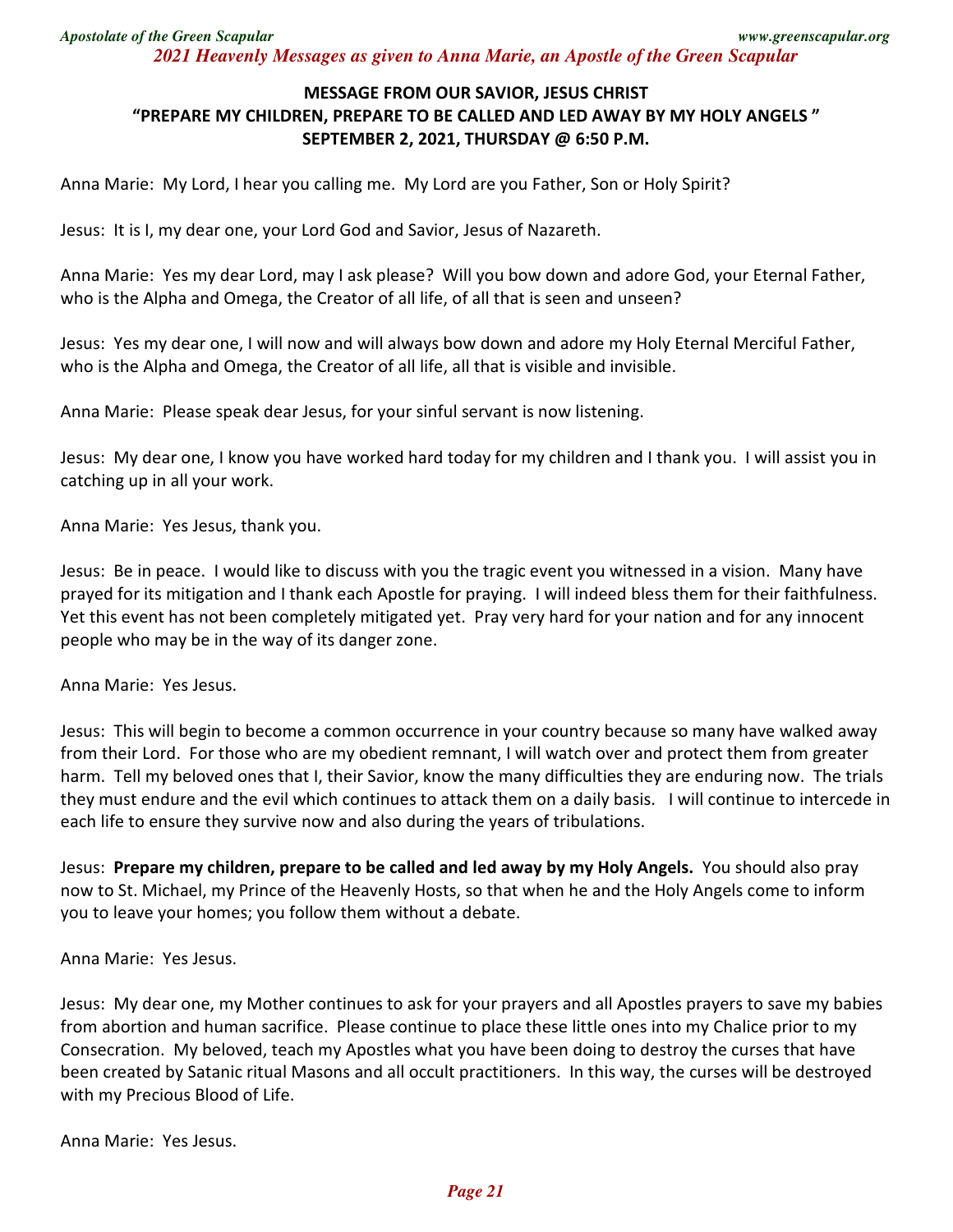*Apostolate of the Green Scapular www.greenscapular.org 2021 Heavenly Messages as given to Anna Marie, an Apostle of the Green Scapular* 

## **MESSAGE FROM OUR SAVIOR, JESUS CHRIST "PREPARE MY CHILDREN, PREPARE TO BE CALLED AND LED AWAY BY MY HOLY ANGELS " SEPTEMBER 2, 2021, THURSDAY @ 6:50 P.M.**

Anna Marie: My Lord, I hear you calling me. My Lord are you Father, Son or Holy Spirit?

Jesus: It is I, my dear one, your Lord God and Savior, Jesus of Nazareth.

Anna Marie: Yes my dear Lord, may I ask please? Will you bow down and adore God, your Eternal Father, who is the Alpha and Omega, the Creator of all life, of all that is seen and unseen?

Jesus: Yes my dear one, I will now and will always bow down and adore my Holy Eternal Merciful Father, who is the Alpha and Omega, the Creator of all life, all that is visible and invisible.

Anna Marie: Please speak dear Jesus, for your sinful servant is now listening.

Jesus: My dear one, I know you have worked hard today for my children and I thank you. I will assist you in catching up in all your work.

Anna Marie: Yes Jesus, thank you.

Jesus: Be in peace. I would like to discuss with you the tragic event you witnessed in a vision. Many have prayed for its mitigation and I thank each Apostle for praying. I will indeed bless them for their faithfulness. Yet this event has not been completely mitigated yet. Pray very hard for your nation and for any innocent people who may be in the way of its danger zone.

Anna Marie: Yes Jesus.

Jesus: This will begin to become a common occurrence in your country because so many have walked away from their Lord. For those who are my obedient remnant, I will watch over and protect them from greater harm. Tell my beloved ones that I, their Savior, know the many difficulties they are enduring now. The trials they must endure and the evil which continues to attack them on a daily basis. I will continue to intercede in each life to ensure they survive now and also during the years of tribulations.

Jesus: **Prepare my children, prepare to be called and led away by my Holy Angels.** You should also pray now to St. Michael, my Prince of the Heavenly Hosts, so that when he and the Holy Angels come to inform you to leave your homes; you follow them without a debate.

Anna Marie: Yes Jesus.

Jesus: My dear one, my Mother continues to ask for your prayers and all Apostles prayers to save my babies from abortion and human sacrifice. Please continue to place these little ones into my Chalice prior to my Consecration. My beloved, teach my Apostles what you have been doing to destroy the curses that have been created by Satanic ritual Masons and all occult practitioners. In this way, the curses will be destroyed with my Precious Blood of Life.

Anna Marie: Yes Jesus.